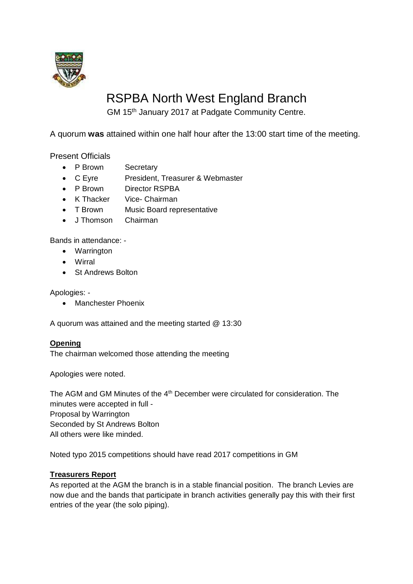

# RSPBA North West England Branch

GM 15th January 2017 at Padgate Community Centre.

A quorum **was** attained within one half hour after the 13:00 start time of the meeting.

Present Officials

- P Brown Secretary
- C Eyre President, Treasurer & Webmaster
- P Brown Director RSPBA
- K Thacker Vice- Chairman
- T Brown Music Board representative
- J Thomson Chairman

Bands in attendance: -

- Warrington
- Wirral
- St Andrews Bolton

Apologies: -

• Manchester Phoenix

A quorum was attained and the meeting started @ 13:30

#### **Opening**

The chairman welcomed those attending the meeting

Apologies were noted.

The AGM and GM Minutes of the 4<sup>th</sup> December were circulated for consideration. The minutes were accepted in full - Proposal by Warrington Seconded by St Andrews Bolton All others were like minded.

Noted typo 2015 competitions should have read 2017 competitions in GM

# **Treasurers Report**

As reported at the AGM the branch is in a stable financial position. The branch Levies are now due and the bands that participate in branch activities generally pay this with their first entries of the year (the solo piping).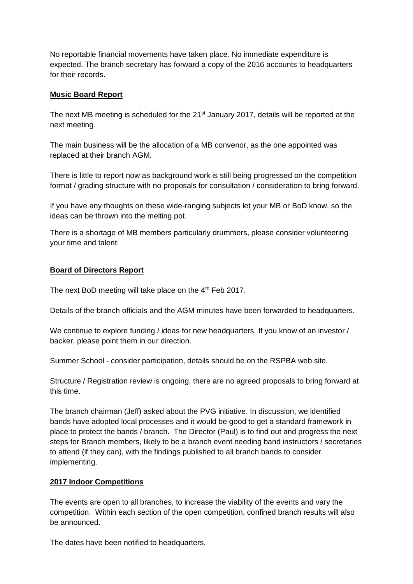No reportable financial movements have taken place. No immediate expenditure is expected. The branch secretary has forward a copy of the 2016 accounts to headquarters for their records.

## **Music Board Report**

The next MB meeting is scheduled for the 21<sup>st</sup> January 2017, details will be reported at the next meeting.

The main business will be the allocation of a MB convenor, as the one appointed was replaced at their branch AGM.

There is little to report now as background work is still being progressed on the competition format / grading structure with no proposals for consultation / consideration to bring forward.

If you have any thoughts on these wide-ranging subjects let your MB or BoD know, so the ideas can be thrown into the melting pot.

There is a shortage of MB members particularly drummers, please consider volunteering your time and talent.

## **Board of Directors Report**

The next BoD meeting will take place on the 4<sup>th</sup> Feb 2017.

Details of the branch officials and the AGM minutes have been forwarded to headquarters.

We continue to explore funding / ideas for new headquarters. If you know of an investor / backer, please point them in our direction.

Summer School - consider participation, details should be on the RSPBA web site.

Structure / Registration review is ongoing, there are no agreed proposals to bring forward at this time.

The branch chairman (Jeff) asked about the PVG initiative. In discussion, we identified bands have adopted local processes and it would be good to get a standard framework in place to protect the bands / branch. The Director (Paul) is to find out and progress the next steps for Branch members, likely to be a branch event needing band instructors / secretaries to attend (if they can), with the findings published to all branch bands to consider implementing.

## **2017 Indoor Competitions**

The events are open to all branches, to increase the viability of the events and vary the competition. Within each section of the open competition, confined branch results will also be announced.

The dates have been notified to headquarters.